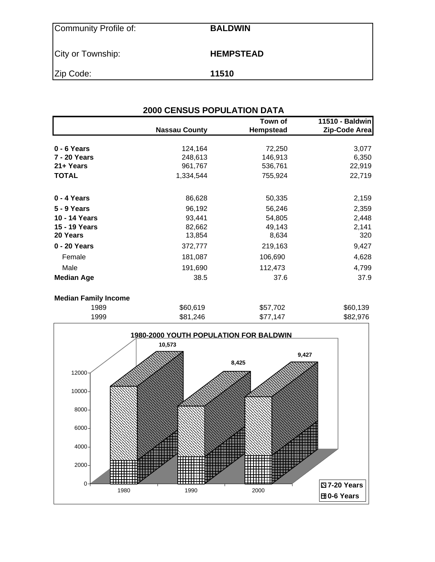| Community Profile of: | <b>BALDWIN</b>   |
|-----------------------|------------------|
| City or Township:     | <b>HEMPSTEAD</b> |
| Zip Code:             | 11510            |

| <b>2000 CENSUS POPULATION DATA</b> |                      |                      |                                  |  |  |  |  |  |
|------------------------------------|----------------------|----------------------|----------------------------------|--|--|--|--|--|
|                                    | <b>Nassau County</b> | Town of<br>Hempstead | 11510 - Baldwin<br>Zip-Code Area |  |  |  |  |  |
| 0 - 6 Years                        | 124,164              | 72,250               | 3,077                            |  |  |  |  |  |
| 7 - 20 Years                       | 248,613              | 146,913              | 6,350                            |  |  |  |  |  |
| 21+ Years                          | 961,767              | 536,761              | 22,919                           |  |  |  |  |  |
| <b>TOTAL</b>                       | 1,334,544            | 755,924              | 22,719                           |  |  |  |  |  |
| 0 - 4 Years                        | 86,628               | 50,335               | 2,159                            |  |  |  |  |  |
| 5 - 9 Years                        | 96,192               | 56,246               | 2,359                            |  |  |  |  |  |
| 10 - 14 Years                      | 93,441               | 54,805               | 2,448                            |  |  |  |  |  |
| 15 - 19 Years                      | 82,662               | 49,143               | 2,141                            |  |  |  |  |  |
| 20 Years                           | 13,854               | 8,634                | 320                              |  |  |  |  |  |
| 0 - 20 Years                       | 372,777              | 219,163              | 9,427                            |  |  |  |  |  |
| Female                             | 181,087              | 106,690              | 4,628                            |  |  |  |  |  |
| Male                               | 191,690              | 112,473              | 4,799                            |  |  |  |  |  |
| <b>Median Age</b>                  | 38.5                 | 37.6                 | 37.9                             |  |  |  |  |  |
|                                    |                      |                      |                                  |  |  |  |  |  |

#### **Median Family Income**

| 1999 | \$81,246 | \$77,147 | \$82,976 |
|------|----------|----------|----------|
| 1989 | \$60,619 | \$57,702 | \$60,139 |
|      |          |          |          |

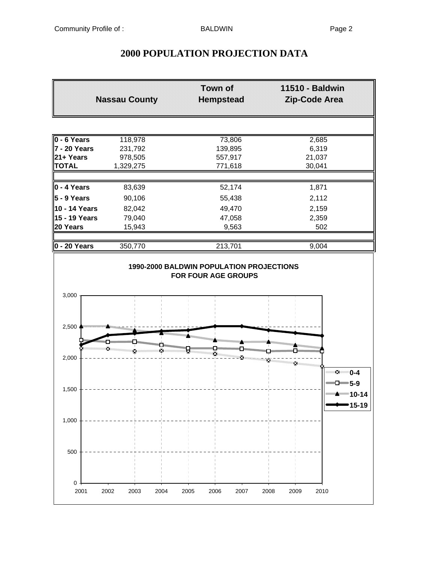# **2000 POPULATION PROJECTION DATA**

|                     | <b>Nassau County</b> |                       | Town of<br><b>Hempstead</b> |      | 11510 - Baldwin<br>Zip-Code Area |                                     |
|---------------------|----------------------|-----------------------|-----------------------------|------|----------------------------------|-------------------------------------|
|                     |                      |                       |                             |      |                                  |                                     |
| 0 - 6 Years         | 118,978              |                       | 73,806                      |      | 2,685                            |                                     |
| 7 - 20 Years        | 231,792              |                       | 139,895                     |      | 6,319                            |                                     |
| 21+ Years           | 978,505              |                       | 557,917                     |      | 21,037                           |                                     |
| <b>TOTAL</b>        | 1,329,275            |                       | 771,618                     |      | 30,041                           |                                     |
| $\vert$ 0 - 4 Years | 83,639               |                       | 52,174                      |      | 1,871                            |                                     |
| $5 - 9$ Years       | 90,106               |                       | 55,438                      |      | 2,112                            |                                     |
| 10 - 14 Years       | 82,042               |                       | 49,470                      |      | 2,159                            |                                     |
| 15 - 19 Years       | 79,040               |                       | 47,058                      |      | 2,359                            |                                     |
| 20 Years            | 15,943               |                       | 9,563                       |      | 502                              |                                     |
| $0 - 20$ Years      | 350,770              |                       | 213,701                     |      | 9,004                            |                                     |
| 2,500               |                      |                       |                             |      |                                  |                                     |
| 2,000               |                      | ma <sub>mamaman</sub> | ×                           |      |                                  |                                     |
| 1,500               |                      |                       |                             |      |                                  | ™≥™ 0-4<br>$-5-9$<br>"""""""" 10-14 |
| 1,000               |                      |                       |                             |      |                                  | $15 - 19$                           |
| 500                 |                      |                       |                             |      |                                  |                                     |
| 0<br>2001           | 2002<br>2003<br>2004 | 2005                  | 2006<br>2007                | 2008 | 2009                             | 2010                                |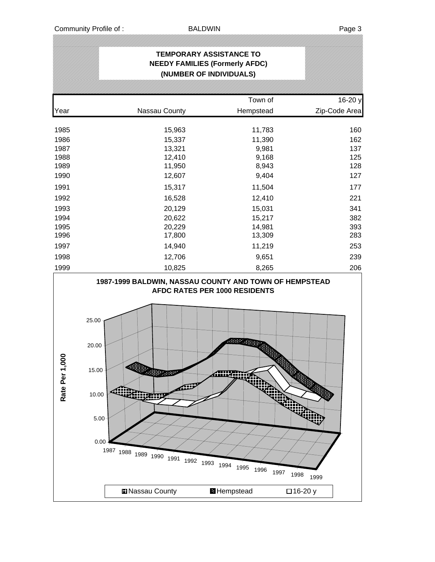.<br>|}

|                |                                                                                                                                                                                    | <b>TEMPORARY ASSISTANCE TO</b><br><b>NEEDY FAMILIES (Formerly AFDC)</b>           |               |
|----------------|------------------------------------------------------------------------------------------------------------------------------------------------------------------------------------|-----------------------------------------------------------------------------------|---------------|
|                |                                                                                                                                                                                    | (NUMBER OF INDIVIDUALS)                                                           |               |
|                |                                                                                                                                                                                    |                                                                                   |               |
|                |                                                                                                                                                                                    | Town of                                                                           | 16-20 y       |
| Year           | Nassau County                                                                                                                                                                      | Hempstead                                                                         | Zip-Code Area |
| 1985           | 15,963                                                                                                                                                                             | 11,783                                                                            | 160           |
| 1986           | 15,337                                                                                                                                                                             | 11,390                                                                            | 162           |
| 1987           | 13,321                                                                                                                                                                             | 9,981                                                                             | 137           |
| 1988           | 12,410                                                                                                                                                                             | 9,168                                                                             | 125           |
| 1989           | 11,950                                                                                                                                                                             | 8,943                                                                             | 128           |
| 1990           | 12,607                                                                                                                                                                             | 9,404                                                                             | 127           |
| 1991           | 15,317                                                                                                                                                                             | 11,504                                                                            | 177           |
| 1992           | 16,528                                                                                                                                                                             | 12,410                                                                            | 221           |
| 1993           | 20,129                                                                                                                                                                             | 15,031                                                                            | 341           |
| 1994           | 20,622                                                                                                                                                                             | 15,217                                                                            | 382           |
| 1995           | 20,229                                                                                                                                                                             | 14,981                                                                            | 393           |
| 1996           | 17,800                                                                                                                                                                             | 13,309                                                                            | 283           |
| 1997           | 14,940                                                                                                                                                                             | 11,219                                                                            | 253           |
| 1998           | 12,706                                                                                                                                                                             | 9,651                                                                             | 239           |
| 1999           | 10,825                                                                                                                                                                             | 8,265                                                                             | 206           |
| 80<br>Rate Per | 1987-1999 BALDWIN, NASSAU COUNTY AND TOWN OF HEMPSTEAD<br>25.00<br>20.00<br>15.00<br><b>PAGES</b><br>40<br>10.00<br>van<br>5.00<br>0.00<br>1987 1988 1989 1990 1991 1992 1993 1994 | AFDC RATES PER 1000 RESIDENTS<br>688897.<br>Aliix<br>1995<br>1996<br>1997<br>1998 | 1999          |
|                | <b>Nassau County</b>                                                                                                                                                               | <b>H</b> Hempstead                                                                | □16-20 y      |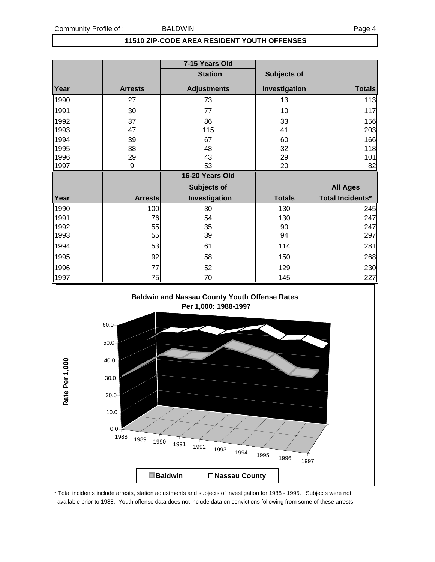#### **11510 ZIP-CODE AREA RESIDENT YOUTH OFFENSES**

|      |                | 7-15 Years Old     |                    |                  |
|------|----------------|--------------------|--------------------|------------------|
|      |                | <b>Station</b>     | <b>Subjects of</b> |                  |
| Year | <b>Arrests</b> | <b>Adjustments</b> | Investigation      | <b>Totals</b>    |
| 1990 | 27             | 73                 | 13                 | 113              |
| 1991 | 30             | 77                 | 10                 | 117              |
| 1992 | 37             | 86                 | 33                 | 156              |
| 1993 | 47             | 115                | 41                 | 203              |
| 1994 | 39             | 67                 | 60                 | 166              |
| 1995 | 38             | 48                 | 32                 | 118              |
| 1996 | 29             | 43                 | 29                 | 101              |
| 1997 | 9              | 53                 | 20                 | 82               |
|      |                |                    |                    |                  |
|      |                | 16-20 Years Old    |                    |                  |
|      |                | <b>Subjects of</b> |                    | <b>All Ages</b>  |
| Year | <b>Arrests</b> | Investigation      | <b>Totals</b>      | Total Incidents* |
| 1990 | 100            | 30                 | 130                | 245              |
| 1991 | 76             | 54                 | 130                | 247              |
| 1992 | 55             | 35                 | 90                 | 247              |
| 1993 | 55             | 39                 | 94                 | 297              |
| 1994 | 53             | 61                 | 114                | 281              |
| 1995 | 92             | 58                 | 150                | 268              |
| 1996 | 77             | 52                 | 129                | 230              |



\* Total incidents include arrests, station adjustments and subjects of investigation for 1988 - 1995. Subjects were not available prior to 1988. Youth offense data does not include data on convictions following from some of these arrests.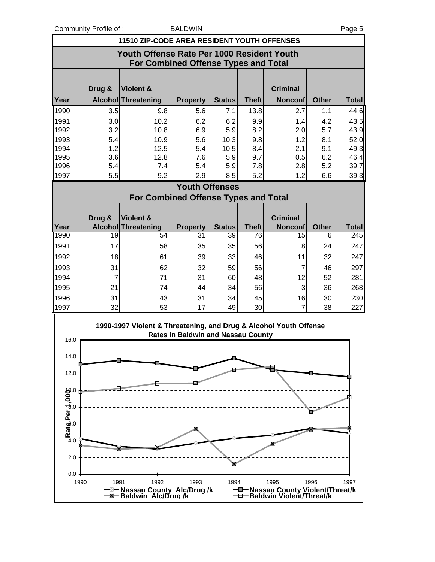Community Profile of : BALDWIN BALDWIN Page 5

|                                                                                    | <b>11510 ZIP-CODE AREA RESIDENT YOUTH OFFENSES</b> |                            |                       |               |              |                 |              |                                                               |  |  |  |  |  |
|------------------------------------------------------------------------------------|----------------------------------------------------|----------------------------|-----------------------|---------------|--------------|-----------------|--------------|---------------------------------------------------------------|--|--|--|--|--|
| Youth Offense Rate Per 1000 Resident Youth<br>For Combined Offense Types and Total |                                                    |                            |                       |               |              |                 |              |                                                               |  |  |  |  |  |
|                                                                                    | Drug &                                             | <b>Violent &amp;</b>       |                       |               |              | <b>Criminal</b> |              |                                                               |  |  |  |  |  |
| Year                                                                               |                                                    | Alcohol Threatening        | <b>Property</b>       | <b>Status</b> | <b>Theft</b> | <b>Nonconf</b>  | <b>Other</b> | <b>Total</b>                                                  |  |  |  |  |  |
| 1990                                                                               | 3.5                                                | 9.8                        | 5.6                   | 7.1           | 13.8         | 2.7             | 1.1          | 44.6                                                          |  |  |  |  |  |
| 1991                                                                               | 3.0                                                | 10.2                       | 6.2                   | 6.2           | 9.9          | 1.4             | 4.2          | 43.5                                                          |  |  |  |  |  |
| 1992                                                                               | 3.2                                                | 10.8                       | 6.9                   | 5.9           | 8.2          | 2.0             | 5.7          | 43.9                                                          |  |  |  |  |  |
| 1993                                                                               | 5.4                                                | 10.9                       | 5.6                   | 10.3          | 9.8          | 1.2             | 8.1          | 52.0                                                          |  |  |  |  |  |
| 1994                                                                               | 1.2                                                | 12.5                       | 5.4                   | 10.5          | 8.4          | 2.1             | 9.1          | 49.3                                                          |  |  |  |  |  |
| 1995                                                                               | 3.6                                                | 12.8                       | 7.6                   | 5.9           | 9.7          | 0.5             | 6.2          | 46.4                                                          |  |  |  |  |  |
| 1996                                                                               | 5.4                                                | 7.4                        | 5.4                   | 5.9           | 7.8          | 2.8             | 5.2          | 39.7                                                          |  |  |  |  |  |
| 1997                                                                               | 5.5                                                | 9.2                        | 2.9                   | 8.5           | 5.2          | 1.2             | 6.6          | 39.3                                                          |  |  |  |  |  |
|                                                                                    |                                                    |                            | <b>Youth Offenses</b> |               |              |                 |              |                                                               |  |  |  |  |  |
| For Combined Offense Types and Total                                               |                                                    |                            |                       |               |              |                 |              |                                                               |  |  |  |  |  |
|                                                                                    |                                                    |                            |                       |               |              |                 |              |                                                               |  |  |  |  |  |
|                                                                                    |                                                    |                            |                       |               |              |                 |              |                                                               |  |  |  |  |  |
|                                                                                    | Drug &                                             | Violent &                  |                       |               |              | <b>Criminal</b> |              |                                                               |  |  |  |  |  |
| Year                                                                               |                                                    | <b>Alcohol Threatening</b> | <b>Property</b>       | <b>Status</b> | <b>Theft</b> | <b>Nonconf</b>  | <b>Other</b> |                                                               |  |  |  |  |  |
|                                                                                    | 19                                                 | 54                         | 31                    | 39            | 76           | 15              | 6            |                                                               |  |  |  |  |  |
| 1991                                                                               | 17                                                 | 58                         | 35                    | 35            | 56           | 8               | 24           |                                                               |  |  |  |  |  |
| 1992                                                                               | 18                                                 | 61                         | 39                    | 33            | 46           | 11              | 32           |                                                               |  |  |  |  |  |
| 1993                                                                               | 31                                                 | 62                         | 32                    | 59            | 56           | $\overline{7}$  | 46           |                                                               |  |  |  |  |  |
| 1994                                                                               | 7                                                  | 71                         | 31                    | 60            | 48           | 12              | 52           | 281                                                           |  |  |  |  |  |
| 1995                                                                               | 21                                                 | 74                         | 44                    | 34            | 56           | 3               | 36           |                                                               |  |  |  |  |  |
| 1990<br>1996                                                                       | 31                                                 | 43                         | 31                    | 34            | 45           | 16              | 30           |                                                               |  |  |  |  |  |
| 1997                                                                               | 32                                                 | 53                         | 17                    | 49            | 30           | $\overline{7}$  | 38           | <b>Total</b><br>245<br>247<br>247<br>297<br>268<br>230<br>227 |  |  |  |  |  |

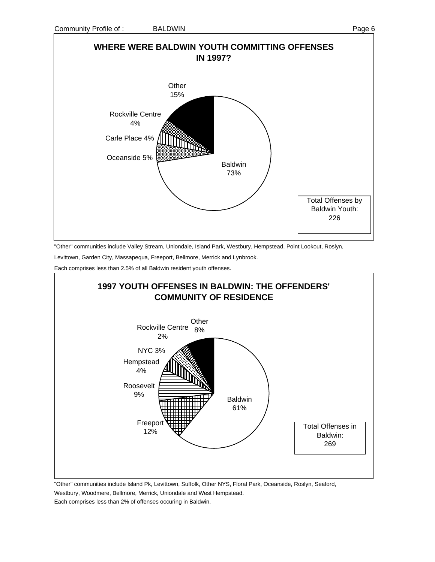

"Other" communities include Valley Stream, Uniondale, Island Park, Westbury, Hempstead, Point Lookout, Roslyn,

Levittown, Garden City, Massapequa, Freeport, Bellmore, Merrick and Lynbrook.

Each comprises less than 2.5% of all Baldwin resident youth offenses.



"Other" communities include Island Pk, Levittown, Suffolk, Other NYS, Floral Park, Oceanside, Roslyn, Seaford, Westbury, Woodmere, Bellmore, Merrick, Uniondale and West Hempstead. Each comprises less than 2% of offenses occuring in Baldwin.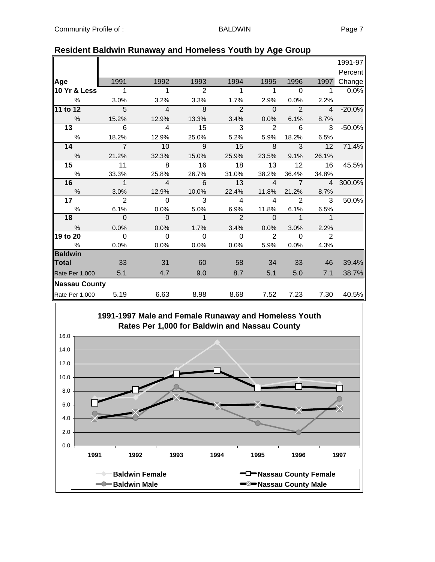|                                |                                              |                                |                                     |                                        |                                  |                                                        | 1991-97                                |
|--------------------------------|----------------------------------------------|--------------------------------|-------------------------------------|----------------------------------------|----------------------------------|--------------------------------------------------------|----------------------------------------|
|                                |                                              |                                |                                     |                                        |                                  |                                                        | Percent                                |
| 1991                           | 1992                                         | 1993                           | 1994                                | 1995                                   | 1996                             | 1997                                                   | Change                                 |
| $\overline{1}$<br>10 Yr & Less | $\overline{1}$                               | $\overline{2}$                 | $\overline{1}$                      | $\overline{1}$                         | $\overline{0}$                   | $\mathbf 1$                                            | 0.0%                                   |
| 3.0%                           | 3.2%                                         | 3.3%                           | 1.7%                                | 2.9%                                   | 0.0%                             | 2.2%                                                   |                                        |
| 5                              | $\overline{4}$                               | 8                              | 2                                   | $\mathbf 0$                            | $\overline{2}$                   | $\overline{4}$                                         | $-20.0%$                               |
| 15.2%                          | 12.9%                                        | 13.3%                          | 3.4%                                | 0.0%                                   | 6.1%                             | 8.7%                                                   |                                        |
| $\overline{6}$                 | $\overline{4}$                               | 15                             | $\overline{3}$                      | 2                                      | 6                                | 3                                                      | $-50.0%$                               |
| 18.2%                          | 12.9%                                        | 25.0%                          | 5.2%                                | 5.9%                                   | 18.2%                            | 6.5%                                                   |                                        |
| $\overline{7}$                 | 10                                           | $\overline{9}$                 | 15                                  | 8                                      | $\overline{3}$                   | 12                                                     | 71.4%                                  |
| 21.2%                          | 32.3%                                        | 15.0%                          | 25.9%                               | 23.5%                                  | 9.1%                             | 26.1%                                                  |                                        |
| 11                             | 8                                            | 16                             | 18                                  | 13                                     | 12                               | 16                                                     | 45.5%                                  |
| 33.3%                          | 25.8%                                        | 26.7%                          | 31.0%                               | 38.2%                                  | 36.4%                            | 34.8%                                                  |                                        |
| $\overline{1}$                 | $\overline{4}$                               | 6                              | 13                                  | $\overline{4}$                         | $\overline{7}$                   | $\overline{4}$                                         | 300.0%                                 |
| 3.0%                           | 12.9%                                        | 10.0%                          | 22.4%                               | 11.8%                                  | 21.2%                            | 8.7%                                                   |                                        |
|                                |                                              |                                |                                     |                                        |                                  |                                                        | 50.0%                                  |
| 6.1%                           |                                              | 5.0%                           | 6.9%                                | 11.8%                                  |                                  | 6.5%                                                   |                                        |
|                                |                                              |                                |                                     |                                        |                                  |                                                        |                                        |
| 0.0%                           | 0.0%                                         | 1.7%                           | 3.4%                                | 0.0%                                   | 3.0%                             | 2.2%                                                   |                                        |
|                                | $\Omega$                                     | $\Omega$                       | $\Omega$                            | 2                                      | $\Omega$                         | $\overline{2}$                                         |                                        |
| 0.0%                           | 0.0%                                         | 0.0%                           | 0.0%                                | 5.9%                                   | 0.0%                             | 4.3%                                                   |                                        |
|                                |                                              |                                |                                     |                                        |                                  |                                                        |                                        |
|                                |                                              |                                |                                     |                                        |                                  |                                                        | 39.4%                                  |
| 5.1                            | 4.7                                          | 9.0                            | 8.7                                 | 5.1                                    | 5.0                              | 7.1                                                    | 38.7%                                  |
| <b>Nassau County</b>           |                                              |                                |                                     |                                        |                                  |                                                        |                                        |
| 5.19                           | 6.63                                         | 8.98                           | 8.68                                |                                        | 7.23                             | 7.30                                                   | 40.5%                                  |
|                                | $\overline{2}$<br>$\Omega$<br>$\Omega$<br>33 | $\Omega$<br>0.0%<br>__ റ<br>31 | $\overline{3}$<br>$\mathbf 1$<br>60 | $\overline{4}$<br>$\overline{2}$<br>58 | $\overline{4}$<br>$\Omega$<br>34 | $\overline{2}$<br>6.1%<br>$\overline{1}$<br>33<br>7.52 | $\overline{3}$<br>$\overline{1}$<br>46 |

### **Resident Baldwin Runaway and Homeless Youth by Age Group**

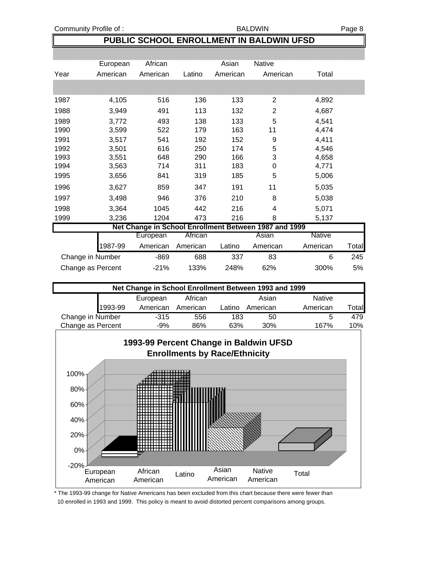#### Community Profile of : BALDWIN BALDWIN Page 8

## **PUBLIC SCHOOL ENROLLMENT IN BALDWIN UFSD**

|      | European         | African  |                | Asian    | <b>Native</b>                                         |               |       |
|------|------------------|----------|----------------|----------|-------------------------------------------------------|---------------|-------|
| Year | American         | American | Latino         | American | American                                              | Total         |       |
|      |                  |          |                |          |                                                       |               |       |
| 1987 | 4,105            | 516      | 136            | 133      | 2                                                     | 4,892         |       |
| 1988 | 3,949            | 491      | 113            | 132      | 2                                                     | 4,687         |       |
| 1989 | 3,772            | 493      | 138            | 133      | 5                                                     | 4,541         |       |
| 1990 | 3,599            | 522      | 179            | 163      | 11                                                    | 4,474         |       |
| 1991 | 3,517            | 541      | 192            | 152      | 9                                                     | 4,411         |       |
| 1992 | 3,501            | 616      | 250            | 174      | 5                                                     | 4,546         |       |
| 1993 | 3,551            | 648      | 290            | 166      | 3                                                     | 4,658         |       |
| 1994 | 3,563            | 714      | 311            | 183      | 0                                                     | 4,771         |       |
| 1995 | 3,656            | 841      | 319            | 185      | 5                                                     | 5,006         |       |
| 1996 | 3,627            | 859      | 347            | 191      | 11                                                    | 5,035         |       |
| 1997 | 3,498            | 946      | 376            | 210      | 8                                                     | 5,038         |       |
| 1998 | 3,364            | 1045     | 442            | 216      | 4                                                     | 5,071         |       |
| 1999 | 3,236            | 1204     | 473            | 216      | 8                                                     | 5,137         |       |
|      |                  |          |                |          | Net Change in School Enrollment Between 1987 and 1999 |               |       |
|      |                  | European | <b>African</b> |          | Asian                                                 | <b>Native</b> |       |
|      | 1987-99          | American | American       | Latino   | American                                              | American      | Total |
|      | Change in Number | $-869$   | 688            | 337      | 83                                                    | 6             | 245   |

| Change as Percent |         | $-21\%$                                               | 133%     | 248%   | 62%      | 300 <sup>%</sup> | 5%    |
|-------------------|---------|-------------------------------------------------------|----------|--------|----------|------------------|-------|
|                   |         | Net Change in School Enrollment Between 1993 and 1999 |          |        |          |                  |       |
|                   |         | European                                              | African  |        | Asian    | <b>Native</b>    |       |
|                   | 1993-99 | American                                              | American | Latino | American | American         | Total |

Change in Number -315 556 183 50 5 479



\* The 1993-99 change for Native Americans has been excluded from this chart because there were fewer than 10 enrolled in 1993 and 1999. This policy is meant to avoid distorted percent comparisons among groups.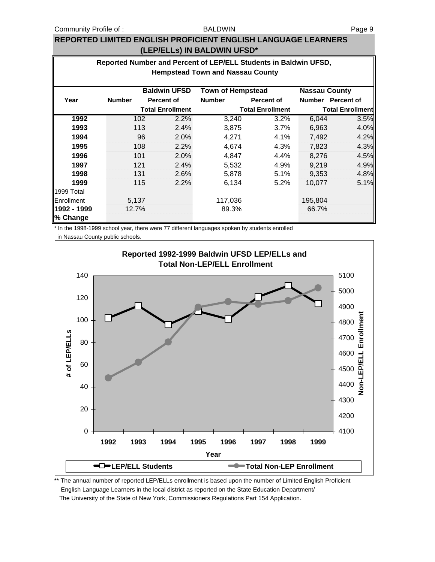#### BALDWIN

#### **REPORTED LIMITED ENGLISH PROFICIENT ENGLISH LANGUAGE LEARNERS (LEP/ELLs) IN BALDWIN UFSD\***

| Reported Number and Percent of LEP/ELL Students in Baldwin UFSD, |                                                                         |     |                         |               |                         |               |                         |  |  |  |  |
|------------------------------------------------------------------|-------------------------------------------------------------------------|-----|-------------------------|---------------|-------------------------|---------------|-------------------------|--|--|--|--|
| <b>Hempstead Town and Nassau County</b>                          |                                                                         |     |                         |               |                         |               |                         |  |  |  |  |
|                                                                  |                                                                         |     |                         |               |                         |               |                         |  |  |  |  |
|                                                                  | <b>Baldwin UFSD</b><br><b>Town of Hempstead</b><br><b>Nassau County</b> |     |                         |               |                         |               |                         |  |  |  |  |
| Year                                                             | <b>Number</b>                                                           |     | <b>Percent of</b>       | <b>Number</b> | <b>Percent of</b>       | <b>Number</b> | <b>Percent of</b>       |  |  |  |  |
|                                                                  |                                                                         |     | <b>Total Enrollment</b> |               | <b>Total Enrollment</b> |               | <b>Total Enrollment</b> |  |  |  |  |
| 1992                                                             |                                                                         | 102 | 2.2%                    | 3,240         | 3.2%                    | 6,044         | 3.5%                    |  |  |  |  |
| 1993                                                             |                                                                         | 113 | 2.4%                    | 3,875         | 3.7%                    | 6,963         | 4.0%                    |  |  |  |  |
| 1994                                                             |                                                                         | 96  | 2.0%                    | 4,271         | 4.1%                    | 7,492         | 4.2%                    |  |  |  |  |
| 1995                                                             |                                                                         | 108 | 2.2%                    | 4,674         | 4.3%                    | 7,823         | 4.3%                    |  |  |  |  |
| 1996                                                             |                                                                         | 101 | 2.0%                    | 4,847         | 4.4%                    | 8,276         | 4.5%                    |  |  |  |  |
| 1997                                                             |                                                                         | 121 | 2.4%                    | 5,532         | 4.9%                    | 9.219         | 4.9%                    |  |  |  |  |
| 1998                                                             |                                                                         | 131 | 2.6%                    | 5,878         | 5.1%                    | 9,353         | 4.8%                    |  |  |  |  |
| 1999                                                             |                                                                         | 115 | 2.2%                    | 6,134         | 5.2%                    | 10,077        | 5.1%                    |  |  |  |  |
| 1999 Total                                                       |                                                                         |     |                         |               |                         |               |                         |  |  |  |  |
| Enrollment                                                       | 5,137                                                                   |     |                         | 117,036       |                         | 195,804       |                         |  |  |  |  |
| 1992 - 1999                                                      | 12.7%                                                                   |     |                         | 89.3%         |                         | 66.7%         |                         |  |  |  |  |
| % Change                                                         |                                                                         |     |                         |               |                         |               |                         |  |  |  |  |

\* In the 1998-1999 school year, there were 77 different languages spoken by students enrolled in Nassau County public schools.



\*\* The annual number of reported LEP/ELLs enrollment is based upon the number of Limited English Proficient English Language Learners in the local district as reported on the State Education Department/ The University of the State of New York, Commissioners Regulations Part 154 Application.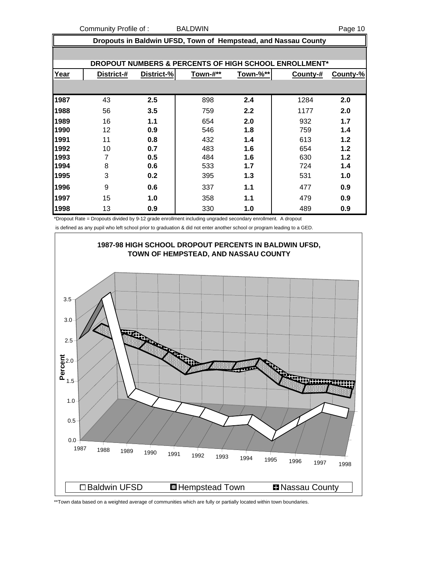Community Profile of : BALDWIN **Example 20** Page 10

|      | Dropouts in Baldwin UFSD, Town of Hempstead, and Nassau County |            |          |          |          |          |  |  |  |  |  |  |
|------|----------------------------------------------------------------|------------|----------|----------|----------|----------|--|--|--|--|--|--|
|      |                                                                |            |          |          |          |          |  |  |  |  |  |  |
|      | DROPOUT NUMBERS & PERCENTS OF HIGH SCHOOL ENROLLMENT*          |            |          |          |          |          |  |  |  |  |  |  |
| Year | District-#                                                     | District-% | Town-#** | Town-%** | County-# | County-% |  |  |  |  |  |  |
|      |                                                                |            |          |          |          |          |  |  |  |  |  |  |
| 1987 | 43                                                             | 2.5        | 898      | 2.4      | 1284     | 2.0      |  |  |  |  |  |  |
| 1988 | 56                                                             | 3.5        | 759      | 2.2      | 1177     | 2.0      |  |  |  |  |  |  |
| 1989 | 16                                                             | 1.1        | 654      | 2.0      | 932      | 1.7      |  |  |  |  |  |  |
| 1990 | 12                                                             | 0.9        | 546      | 1.8      | 759      | 1.4      |  |  |  |  |  |  |
| 1991 | 11                                                             | 0.8        | 432      | 1.4      | 613      | 1.2      |  |  |  |  |  |  |
| 1992 | 10                                                             | 0.7        | 483      | 1.6      | 654      | 1.2      |  |  |  |  |  |  |
| 1993 | 7                                                              | 0.5        | 484      | 1.6      | 630      | 1.2      |  |  |  |  |  |  |
| 1994 | 8                                                              | 0.6        | 533      | 1.7      | 724      | 1.4      |  |  |  |  |  |  |
| 1995 | 3                                                              | 0.2        | 395      | 1.3      | 531      | 1.0      |  |  |  |  |  |  |
| 1996 | 9                                                              | 0.6        | 337      | 1.1      | 477      | 0.9      |  |  |  |  |  |  |
| 1997 | 15                                                             | 1.0        | 358      | 1.1      | 479      | 0.9      |  |  |  |  |  |  |
| 1998 | 13                                                             | 0.9        | 330      | 1.0      | 489      | 0.9      |  |  |  |  |  |  |

\*Dropout Rate = Dropouts divided by 9-12 grade enrollment including ungraded secondary enrollment. A dropout

is defined as any pupil who left school prior to graduation & did not enter another school or program leading to a GED.



\*\*Town data based on a weighted average of communities which are fully or partially located within town boundaries.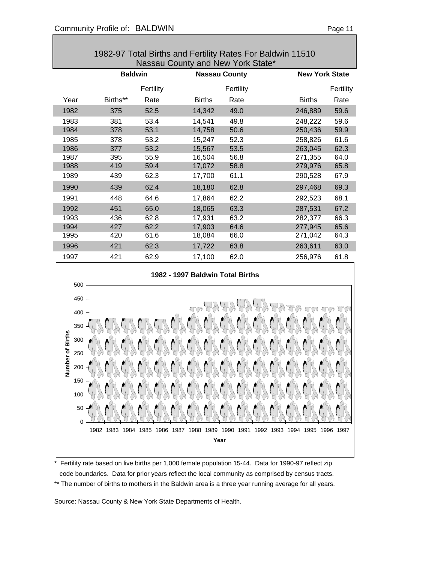| 1982-97 Total Births and Fertility Rates For Baldwin 11510<br>Nassau County and New York State* |                |           |                                  |           |               |                       |  |  |  |  |  |
|-------------------------------------------------------------------------------------------------|----------------|-----------|----------------------------------|-----------|---------------|-----------------------|--|--|--|--|--|
|                                                                                                 | <b>Baldwin</b> |           | <b>Nassau County</b>             |           |               | <b>New York State</b> |  |  |  |  |  |
|                                                                                                 |                |           |                                  |           |               |                       |  |  |  |  |  |
|                                                                                                 |                | Fertility |                                  | Fertility |               | Fertility             |  |  |  |  |  |
| Year                                                                                            | Births**       | Rate      | <b>Births</b>                    | Rate      | <b>Births</b> | Rate                  |  |  |  |  |  |
| 1982                                                                                            | 375            | 52.5      | 14,342                           | 49.0      | 246,889       | 59.6                  |  |  |  |  |  |
| 1983                                                                                            | 381            | 53.4      | 14,541                           | 49.8      | 248,222       | 59.6                  |  |  |  |  |  |
| 1984                                                                                            | 378            | 53.1      | 14,758                           | 50.6      | 250,436       | 59.9                  |  |  |  |  |  |
| 1985                                                                                            | 378            | 53.2      | 15,247                           | 52.3      | 258,826       | 61.6                  |  |  |  |  |  |
| 1986                                                                                            | 377            | 53.2      | 15,567                           | 53.5      | 263,045       | 62.3                  |  |  |  |  |  |
| 1987                                                                                            | 395            | 55.9      | 16,504                           | 56.8      | 271,355       | 64.0                  |  |  |  |  |  |
| 1988                                                                                            | 419            | 59.4      | 17,072                           | 58.8      | 279,976       | 65.8                  |  |  |  |  |  |
| 1989                                                                                            | 439            | 62.3      | 17,700                           | 61.1      | 290,528       | 67.9                  |  |  |  |  |  |
| 1990                                                                                            | 439            | 62.4      | 18,180                           | 62.8      | 297,468       | 69.3                  |  |  |  |  |  |
| 1991                                                                                            | 448            | 64.6      | 17,864                           | 62.2      | 292,523       | 68.1                  |  |  |  |  |  |
| 1992                                                                                            | 451            | 65.0      | 18,065                           | 63.3      | 287,531       | 67.2                  |  |  |  |  |  |
| 1993                                                                                            | 436            | 62.8      | 17,931                           | 63.2      | 282,377       | 66.3                  |  |  |  |  |  |
| 1994                                                                                            | 427            | 62.2      | 17,903                           | 64.6      | 277,945       | 65.6                  |  |  |  |  |  |
| 1995                                                                                            | 420            | 61.6      | 18,084                           | 66.0      | 271,042       | 64.3                  |  |  |  |  |  |
| 1996                                                                                            | 421            | 62.3      | 17,722                           | 63.8      | 263,611       | 63.0                  |  |  |  |  |  |
| 1997                                                                                            | 421            | 62.9      | 17,100                           | 62.0      | 256,976       | 61.8                  |  |  |  |  |  |
|                                                                                                 |                |           | 1982 - 1997 Baldwin Total Births |           |               |                       |  |  |  |  |  |
| 500                                                                                             |                |           |                                  |           |               |                       |  |  |  |  |  |
| 450                                                                                             |                |           |                                  |           |               |                       |  |  |  |  |  |
|                                                                                                 |                |           |                                  |           | አንግኝ ኤን       |                       |  |  |  |  |  |
| 400                                                                                             |                |           |                                  |           |               |                       |  |  |  |  |  |
| 350                                                                                             |                |           |                                  |           |               |                       |  |  |  |  |  |



\* Fertility rate based on live births per 1,000 female population 15-44. Data for 1990-97 reflect zip code boundaries. Data for prior years reflect the local community as comprised by census tracts.

\*\* The number of births to mothers in the Baldwin area is a three year running average for all years.

Source: Nassau County & New York State Departments of Health.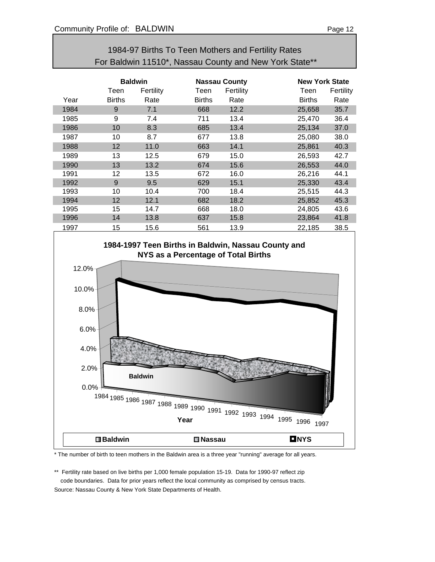| For Baldwin 11510*, Nassau County and New York State** |                |           |                      |           |               |                       |  |  |  |
|--------------------------------------------------------|----------------|-----------|----------------------|-----------|---------------|-----------------------|--|--|--|
|                                                        | <b>Baldwin</b> |           | <b>Nassau County</b> |           |               | <b>New York State</b> |  |  |  |
|                                                        | Teen           | Fertility | Teen                 | Fertility | Teen          | Fertility             |  |  |  |
| Year                                                   | <b>Births</b>  | Rate      | <b>Births</b>        | Rate      | <b>Births</b> | Rate                  |  |  |  |
| 1984                                                   | 9              | 7.1       | 668                  | 12.2      | 25,658        | 35.7                  |  |  |  |
| 1985                                                   | 9              | 7.4       | 711                  | 13.4      | 25,470        | 36.4                  |  |  |  |
| 1986                                                   | 10             | 8.3       | 685                  | 13.4      | 25,134        | 37.0                  |  |  |  |
| 1987                                                   | 10             | 8.7       | 677                  | 13.8      | 25,080        | 38.0                  |  |  |  |
| 1988                                                   | 12             | 11.0      | 663                  | 14.1      | 25,861        | 40.3                  |  |  |  |
| 1989                                                   | 13             | 12.5      | 679                  | 15.0      | 26,593        | 42.7                  |  |  |  |
| 1990                                                   | 13             | 13.2      | 674                  | 15.6      | 26,553        | 44.0                  |  |  |  |
| 1991                                                   | 12             | 13.5      | 672                  | 16.0      | 26,216        | 44.1                  |  |  |  |
| 1992                                                   | 9              | 9.5       | 629                  | 15.1      | 25,330        | 43.4                  |  |  |  |
| 1993                                                   | 10             | 10.4      | 700                  | 18.4      | 25,515        | 44.3                  |  |  |  |
| 1994                                                   | 12             | 12.1      | 682                  | 18.2      | 25,852        | 45.3                  |  |  |  |
| 1995                                                   | 15             | 14.7      | 668                  | 18.0      | 24,805        | 43.6                  |  |  |  |

1996 14 13.8 637 15.8 23,864 41.8

# 1984-97 Births To Teen Mothers and Fertility Rates



\* The number of birth to teen mothers in the Baldwin area is a three year "running" average for all years.

\*\* Fertility rate based on live births per 1,000 female population 15-19. Data for 1990-97 reflect zip code boundaries. Data for prior years reflect the local community as comprised by census tracts. Source: Nassau County & New York State Departments of Health.